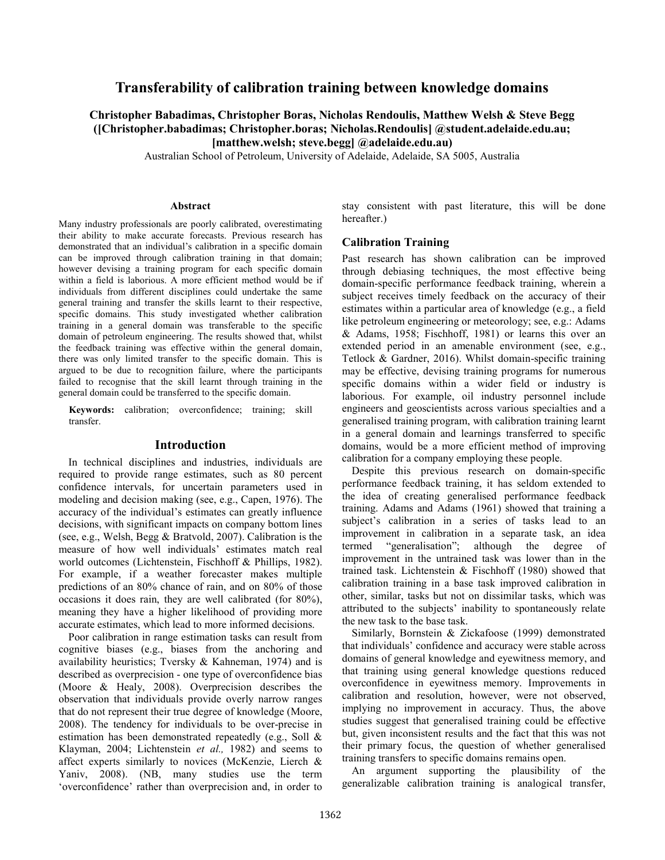# Transferability of calibration training between knowledge domains

# Christopher Babadimas, Christopher Boras, Nicholas Rendoulis, Matthew Welsh & Steve Begg ([Christopher.babadimas; Christopher.boras; Nicholas.Rendoulis] @student.adelaide.edu.au; [matthew.welsh; steve.begg] @adelaide.edu.au)

Australian School of Petroleum, University of Adelaide, Adelaide, SA 5005, Australia

#### Abstract

Many industry professionals are poorly calibrated, overestimating their ability to make accurate forecasts. Previous research has demonstrated that an individual's calibration in a specific domain can be improved through calibration training in that domain; however devising a training program for each specific domain within a field is laborious. A more efficient method would be if individuals from different disciplines could undertake the same general training and transfer the skills learnt to their respective, specific domains. This study investigated whether calibration training in a general domain was transferable to the specific domain of petroleum engineering. The results showed that, whilst the feedback training was effective within the general domain, there was only limited transfer to the specific domain. This is argued to be due to recognition failure, where the participants failed to recognise that the skill learnt through training in the general domain could be transferred to the specific domain.

Keywords: calibration; overconfidence; training; skill transfer.

### Introduction

In technical disciplines and industries, individuals are required to provide range estimates, such as 80 percent confidence intervals, for uncertain parameters used in modeling and decision making (see, e.g., Capen, 1976). The accuracy of the individual's estimates can greatly influence decisions, with significant impacts on company bottom lines (see, e.g., Welsh, Begg & Bratvold, 2007). Calibration is the measure of how well individuals' estimates match real world outcomes (Lichtenstein, Fischhoff & Phillips, 1982). For example, if a weather forecaster makes multiple predictions of an 80% chance of rain, and on 80% of those occasions it does rain, they are well calibrated (for 80%), meaning they have a higher likelihood of providing more accurate estimates, which lead to more informed decisions.

Poor calibration in range estimation tasks can result from cognitive biases (e.g., biases from the anchoring and availability heuristics; Tversky & Kahneman, 1974) and is described as overprecision - one type of overconfidence bias (Moore & Healy, 2008). Overprecision describes the observation that individuals provide overly narrow ranges that do not represent their true degree of knowledge (Moore, 2008). The tendency for individuals to be over-precise in estimation has been demonstrated repeatedly (e.g., Soll & Klayman, 2004; Lichtenstein et al., 1982) and seems to affect experts similarly to novices (McKenzie, Lierch & Yaniv, 2008). (NB, many studies use the term 'overconfidence' rather than overprecision and, in order to stay consistent with past literature, this will be done hereafter.)

### Calibration Training

Past research has shown calibration can be improved through debiasing techniques, the most effective being domain-specific performance feedback training, wherein a subject receives timely feedback on the accuracy of their estimates within a particular area of knowledge (e.g., a field like petroleum engineering or meteorology; see, e.g.: Adams & Adams, 1958; Fischhoff, 1981) or learns this over an extended period in an amenable environment (see, e.g., Tetlock & Gardner, 2016). Whilst domain-specific training may be effective, devising training programs for numerous specific domains within a wider field or industry is laborious. For example, oil industry personnel include engineers and geoscientists across various specialties and a generalised training program, with calibration training learnt in a general domain and learnings transferred to specific domains, would be a more efficient method of improving calibration for a company employing these people.

Despite this previous research on domain-specific performance feedback training, it has seldom extended to the idea of creating generalised performance feedback training. Adams and Adams (1961) showed that training a subject's calibration in a series of tasks lead to an improvement in calibration in a separate task, an idea termed "generalisation"; although the degree of improvement in the untrained task was lower than in the trained task. Lichtenstein & Fischhoff (1980) showed that calibration training in a base task improved calibration in other, similar, tasks but not on dissimilar tasks, which was attributed to the subjects' inability to spontaneously relate the new task to the base task.

Similarly, Bornstein & Zickafoose (1999) demonstrated that individuals' confidence and accuracy were stable across domains of general knowledge and eyewitness memory, and that training using general knowledge questions reduced overconfidence in eyewitness memory. Improvements in calibration and resolution, however, were not observed, implying no improvement in accuracy. Thus, the above studies suggest that generalised training could be effective but, given inconsistent results and the fact that this was not their primary focus, the question of whether generalised training transfers to specific domains remains open.

An argument supporting the plausibility of the generalizable calibration training is analogical transfer,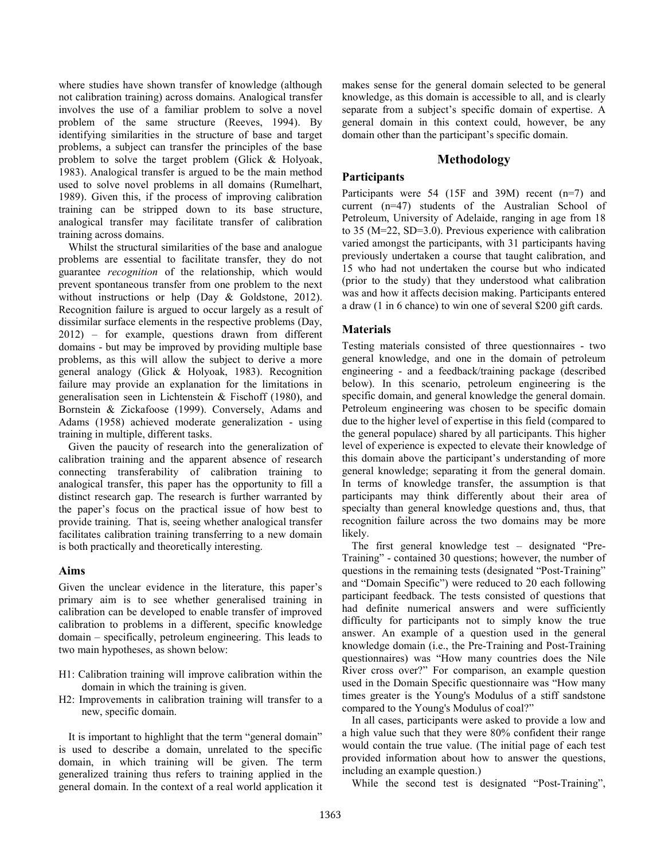where studies have shown transfer of knowledge (although not calibration training) across domains. Analogical transfer involves the use of a familiar problem to solve a novel problem of the same structure (Reeves, 1994). By identifying similarities in the structure of base and target problems, a subject can transfer the principles of the base problem to solve the target problem (Glick & Holyoak, 1983). Analogical transfer is argued to be the main method used to solve novel problems in all domains (Rumelhart, 1989). Given this, if the process of improving calibration training can be stripped down to its base structure, analogical transfer may facilitate transfer of calibration training across domains.

Whilst the structural similarities of the base and analogue problems are essential to facilitate transfer, they do not guarantee recognition of the relationship, which would prevent spontaneous transfer from one problem to the next without instructions or help (Day & Goldstone, 2012). Recognition failure is argued to occur largely as a result of dissimilar surface elements in the respective problems (Day, 2012) – for example, questions drawn from different domains - but may be improved by providing multiple base problems, as this will allow the subject to derive a more general analogy (Glick & Holyoak, 1983). Recognition failure may provide an explanation for the limitations in generalisation seen in Lichtenstein & Fischoff (1980), and Bornstein & Zickafoose (1999). Conversely, Adams and Adams (1958) achieved moderate generalization - using training in multiple, different tasks.

Given the paucity of research into the generalization of calibration training and the apparent absence of research connecting transferability of calibration training to analogical transfer, this paper has the opportunity to fill a distinct research gap. The research is further warranted by the paper's focus on the practical issue of how best to provide training. That is, seeing whether analogical transfer facilitates calibration training transferring to a new domain is both practically and theoretically interesting.

# Aims

Given the unclear evidence in the literature, this paper's primary aim is to see whether generalised training in calibration can be developed to enable transfer of improved calibration to problems in a different, specific knowledge domain – specifically, petroleum engineering. This leads to two main hypotheses, as shown below:

- H1: Calibration training will improve calibration within the domain in which the training is given.
- H2: Improvements in calibration training will transfer to a new, specific domain.

It is important to highlight that the term "general domain" is used to describe a domain, unrelated to the specific domain, in which training will be given. The term generalized training thus refers to training applied in the general domain. In the context of a real world application it makes sense for the general domain selected to be general knowledge, as this domain is accessible to all, and is clearly separate from a subject's specific domain of expertise. A general domain in this context could, however, be any domain other than the participant's specific domain.

# Methodology

# **Participants**

Participants were 54 (15F and 39M) recent (n=7) and current (n=47) students of the Australian School of Petroleum, University of Adelaide, ranging in age from 18 to 35 (M=22, SD=3.0). Previous experience with calibration varied amongst the participants, with 31 participants having previously undertaken a course that taught calibration, and 15 who had not undertaken the course but who indicated (prior to the study) that they understood what calibration was and how it affects decision making. Participants entered a draw (1 in 6 chance) to win one of several \$200 gift cards.

# Materials

Testing materials consisted of three questionnaires - two general knowledge, and one in the domain of petroleum engineering - and a feedback/training package (described below). In this scenario, petroleum engineering is the specific domain, and general knowledge the general domain. Petroleum engineering was chosen to be specific domain due to the higher level of expertise in this field (compared to the general populace) shared by all participants. This higher level of experience is expected to elevate their knowledge of this domain above the participant's understanding of more general knowledge; separating it from the general domain. In terms of knowledge transfer, the assumption is that participants may think differently about their area of specialty than general knowledge questions and, thus, that recognition failure across the two domains may be more likely.

The first general knowledge test – designated "Pre-Training" - contained 30 questions; however, the number of questions in the remaining tests (designated "Post-Training" and "Domain Specific") were reduced to 20 each following participant feedback. The tests consisted of questions that had definite numerical answers and were sufficiently difficulty for participants not to simply know the true answer. An example of a question used in the general knowledge domain (i.e., the Pre-Training and Post-Training questionnaires) was "How many countries does the Nile River cross over?" For comparison, an example question used in the Domain Specific questionnaire was "How many times greater is the Young's Modulus of a stiff sandstone compared to the Young's Modulus of coal?"

In all cases, participants were asked to provide a low and a high value such that they were 80% confident their range would contain the true value. (The initial page of each test provided information about how to answer the questions, including an example question.)

While the second test is designated "Post-Training",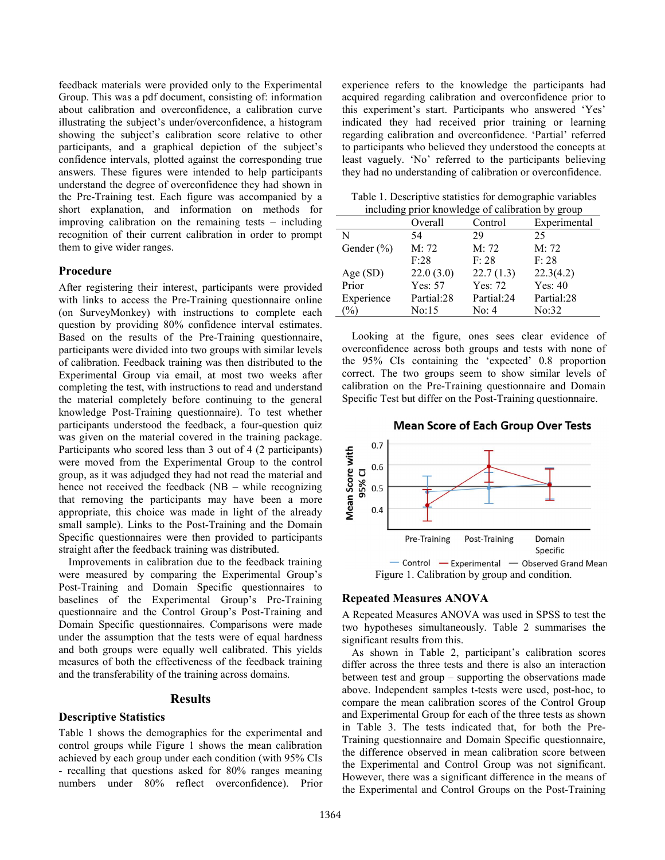feedback materials were provided only to the Experimental Group. This was a pdf document, consisting of: information about calibration and overconfidence, a calibration curve illustrating the subject's under/overconfidence, a histogram showing the subject's calibration score relative to other participants, and a graphical depiction of the subject's confidence intervals, plotted against the corresponding true answers. These figures were intended to help participants understand the degree of overconfidence they had shown in the Pre-Training test. Each figure was accompanied by a short explanation, and information on methods for improving calibration on the remaining tests – including recognition of their current calibration in order to prompt them to give wider ranges.

#### Procedure

After registering their interest, participants were provided with links to access the Pre-Training questionnaire online (on SurveyMonkey) with instructions to complete each question by providing 80% confidence interval estimates. Based on the results of the Pre-Training questionnaire, participants were divided into two groups with similar levels of calibration. Feedback training was then distributed to the Experimental Group via email, at most two weeks after completing the test, with instructions to read and understand the material completely before continuing to the general knowledge Post-Training questionnaire). To test whether participants understood the feedback, a four-question quiz was given on the material covered in the training package. Participants who scored less than 3 out of 4 (2 participants) were moved from the Experimental Group to the control group, as it was adjudged they had not read the material and hence not received the feedback (NB – while recognizing that removing the participants may have been a more appropriate, this choice was made in light of the already small sample). Links to the Post-Training and the Domain Specific questionnaires were then provided to participants straight after the feedback training was distributed.

Improvements in calibration due to the feedback training were measured by comparing the Experimental Group's Post-Training and Domain Specific questionnaires to baselines of the Experimental Group's Pre-Training questionnaire and the Control Group's Post-Training and Domain Specific questionnaires. Comparisons were made under the assumption that the tests were of equal hardness and both groups were equally well calibrated. This yields measures of both the effectiveness of the feedback training and the transferability of the training across domains.

### Results

# Descriptive Statistics

Table 1 shows the demographics for the experimental and control groups while Figure 1 shows the mean calibration achieved by each group under each condition (with 95% CIs - recalling that questions asked for 80% ranges meaning numbers under 80% reflect overconfidence). Prior experience refers to the knowledge the participants had acquired regarding calibration and overconfidence prior to this experiment's start. Participants who answered 'Yes' indicated they had received prior training or learning regarding calibration and overconfidence. 'Partial' referred to participants who believed they understood the concepts at least vaguely. 'No' referred to the participants believing they had no understanding of calibration or overconfidence.

Table 1. Descriptive statistics for demographic variables including prior knowledge of calibration by group

|                | Overall    | Control    | Experimental |  |
|----------------|------------|------------|--------------|--|
| N              | 54         | 29         | 25           |  |
| Gender $(\% )$ | M: 72      | M: 72      | M: 72        |  |
|                | F:28       | F: 28      | F: 28        |  |
| Age (SD)       | 22.0(3.0)  | 22.7(1.3)  | 22.3(4.2)    |  |
| Prior          | Yes: 57    | Yes: 72    | Yes: 40      |  |
| Experience     | Partial:28 | Partial:24 | Partial:28   |  |
| $\frac{0}{0}$  | No:15      | No: 4      | No:32        |  |

Looking at the figure, ones sees clear evidence of overconfidence across both groups and tests with none of the 95% CIs containing the 'expected' 0.8 proportion correct. The two groups seem to show similar levels of calibration on the Pre-Training questionnaire and Domain Specific Test but differ on the Post-Training questionnaire.





#### Repeated Measures ANOVA

A Repeated Measures ANOVA was used in SPSS to test the two hypotheses simultaneously. Table 2 summarises the significant results from this.

As shown in Table 2, participant's calibration scores differ across the three tests and there is also an interaction between test and group – supporting the observations made above. Independent samples t-tests were used, post-hoc, to compare the mean calibration scores of the Control Group and Experimental Group for each of the three tests as shown in Table 3. The tests indicated that, for both the Pre-Training questionnaire and Domain Specific questionnaire, the difference observed in mean calibration score between the Experimental and Control Group was not significant. However, there was a significant difference in the means of the Experimental and Control Groups on the Post-Training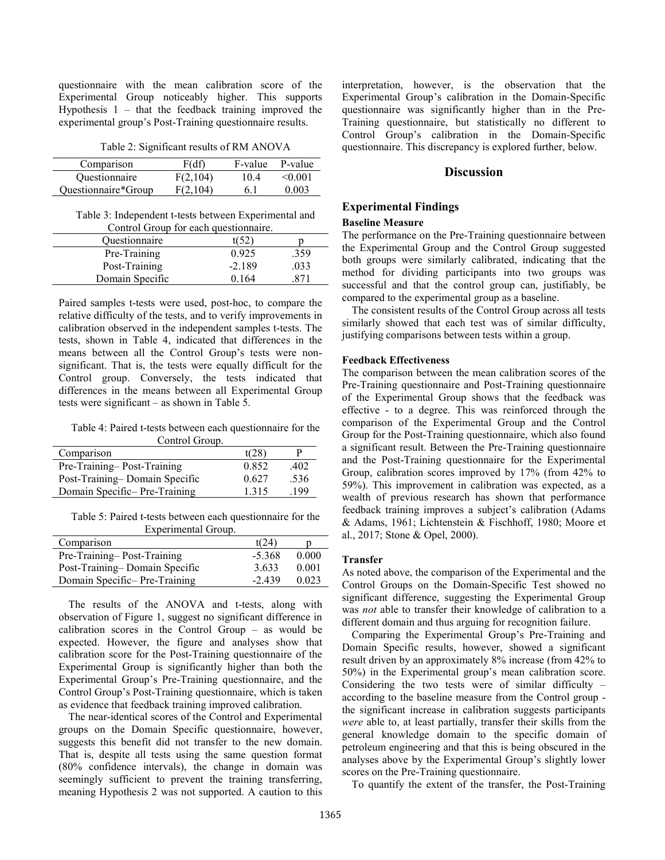questionnaire with the mean calibration score of the Experimental Group noticeably higher. This supports Hypothesis  $1 -$  that the feedback training improved the experimental group's Post-Training questionnaire results.

Table 2: Significant results of RM ANOVA

| Comparison          | F(df)    | F-value | P-value      |
|---------------------|----------|---------|--------------|
| Questionnaire       | F(2,104) | 10.4    | $\leq 0.001$ |
| Ouestionnaire*Group | F(2.104) | 6. I    | 0.003        |

Table 3: Independent t-tests between Experimental and Control Group for each questionnaire.

| Common Group for caen auconomium c. |          |      |
|-------------------------------------|----------|------|
| <i><b>Ouestionnaire</b></i>         | t(52)    |      |
| Pre-Training                        | 0.925    | .359 |
| Post-Training                       | $-2.189$ | .033 |
| Domain Specific                     | 0.164    |      |

Paired samples t-tests were used, post-hoc, to compare the relative difficulty of the tests, and to verify improvements in calibration observed in the independent samples t-tests. The tests, shown in Table 4, indicated that differences in the means between all the Control Group's tests were nonsignificant. That is, the tests were equally difficult for the Control group. Conversely, the tests indicated that differences in the means between all Experimental Group tests were significant – as shown in Table 5.

Table 4: Paired t-tests between each questionnaire for the Control Group.

| Comuoi Ologo.                 |       |      |  |
|-------------------------------|-------|------|--|
| Comparison                    | t(28) |      |  |
| Pre-Training-Post-Training    | 0.852 | .402 |  |
| Post-Training-Domain Specific | 0.627 | .536 |  |
| Domain Specific-Pre-Training  | 1.315 | .199 |  |

Table 5: Paired t-tests between each questionnaire for the Experimental Group.

| Comparison                    | tí 24    |       |
|-------------------------------|----------|-------|
| Pre-Training-Post-Training    | $-5.368$ | 0.000 |
| Post-Training-Domain Specific | 3.633    | 0.001 |
| Domain Specific-Pre-Training  | $-2.439$ | 0.023 |

The results of the ANOVA and t-tests, along with observation of Figure 1, suggest no significant difference in calibration scores in the Control Group – as would be expected. However, the figure and analyses show that calibration score for the Post-Training questionnaire of the Experimental Group is significantly higher than both the Experimental Group's Pre-Training questionnaire, and the Control Group's Post-Training questionnaire, which is taken as evidence that feedback training improved calibration.

The near-identical scores of the Control and Experimental groups on the Domain Specific questionnaire, however, suggests this benefit did not transfer to the new domain. That is, despite all tests using the same question format (80% confidence intervals), the change in domain was seemingly sufficient to prevent the training transferring, meaning Hypothesis 2 was not supported. A caution to this

interpretation, however, is the observation that the Experimental Group's calibration in the Domain-Specific questionnaire was significantly higher than in the Pre-Training questionnaire, but statistically no different to Control Group's calibration in the Domain-Specific questionnaire. This discrepancy is explored further, below.

## **Discussion**

# Experimental Findings

#### Baseline Measure

The performance on the Pre-Training questionnaire between the Experimental Group and the Control Group suggested both groups were similarly calibrated, indicating that the method for dividing participants into two groups was successful and that the control group can, justifiably, be compared to the experimental group as a baseline.

The consistent results of the Control Group across all tests similarly showed that each test was of similar difficulty, justifying comparisons between tests within a group.

#### Feedback Effectiveness

The comparison between the mean calibration scores of the Pre-Training questionnaire and Post-Training questionnaire of the Experimental Group shows that the feedback was effective - to a degree. This was reinforced through the comparison of the Experimental Group and the Control Group for the Post-Training questionnaire, which also found a significant result. Between the Pre-Training questionnaire and the Post-Training questionnaire for the Experimental Group, calibration scores improved by 17% (from 42% to 59%). This improvement in calibration was expected, as a wealth of previous research has shown that performance feedback training improves a subject's calibration (Adams & Adams, 1961; Lichtenstein & Fischhoff, 1980; Moore et al., 2017; Stone & Opel, 2000).

#### Transfer

As noted above, the comparison of the Experimental and the Control Groups on the Domain-Specific Test showed no significant difference, suggesting the Experimental Group was not able to transfer their knowledge of calibration to a different domain and thus arguing for recognition failure.

Comparing the Experimental Group's Pre-Training and Domain Specific results, however, showed a significant result driven by an approximately 8% increase (from 42% to 50%) in the Experimental group's mean calibration score. Considering the two tests were of similar difficulty – according to the baseline measure from the Control group the significant increase in calibration suggests participants were able to, at least partially, transfer their skills from the general knowledge domain to the specific domain of petroleum engineering and that this is being obscured in the analyses above by the Experimental Group's slightly lower scores on the Pre-Training questionnaire.

To quantify the extent of the transfer, the Post-Training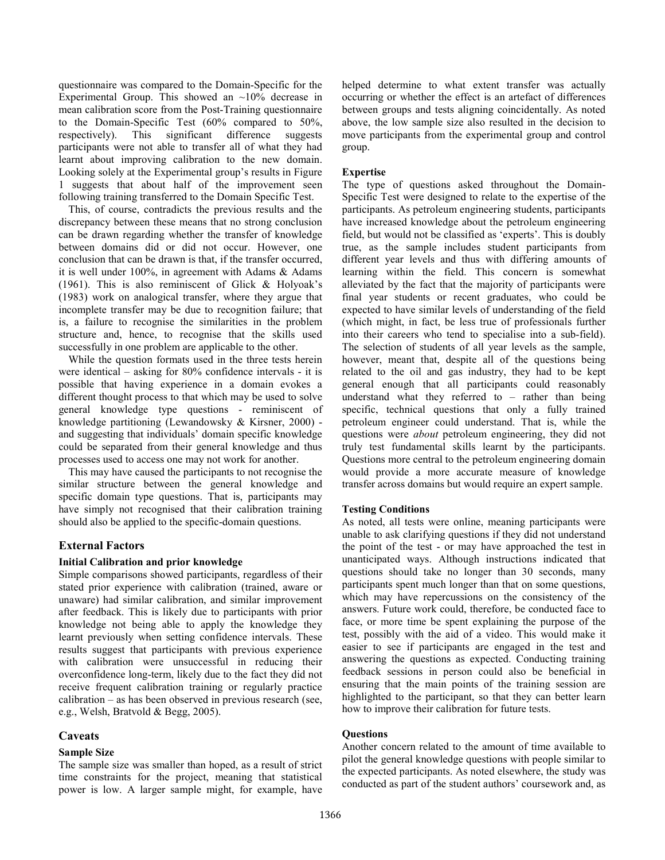questionnaire was compared to the Domain-Specific for the Experimental Group. This showed an  $\sim$ 10% decrease in mean calibration score from the Post-Training questionnaire to the Domain-Specific Test (60% compared to 50%, respectively). This significant difference suggests participants were not able to transfer all of what they had learnt about improving calibration to the new domain. Looking solely at the Experimental group's results in Figure 1 suggests that about half of the improvement seen following training transferred to the Domain Specific Test.

This, of course, contradicts the previous results and the discrepancy between these means that no strong conclusion can be drawn regarding whether the transfer of knowledge between domains did or did not occur. However, one conclusion that can be drawn is that, if the transfer occurred, it is well under 100%, in agreement with Adams & Adams (1961). This is also reminiscent of Glick & Holyoak's (1983) work on analogical transfer, where they argue that incomplete transfer may be due to recognition failure; that is, a failure to recognise the similarities in the problem structure and, hence, to recognise that the skills used successfully in one problem are applicable to the other.

While the question formats used in the three tests herein were identical – asking for 80% confidence intervals - it is possible that having experience in a domain evokes a different thought process to that which may be used to solve general knowledge type questions - reminiscent of knowledge partitioning (Lewandowsky & Kirsner, 2000) and suggesting that individuals' domain specific knowledge could be separated from their general knowledge and thus processes used to access one may not work for another.

This may have caused the participants to not recognise the similar structure between the general knowledge and specific domain type questions. That is, participants may have simply not recognised that their calibration training should also be applied to the specific-domain questions.

# External Factors

# Initial Calibration and prior knowledge

Simple comparisons showed participants, regardless of their stated prior experience with calibration (trained, aware or unaware) had similar calibration, and similar improvement after feedback. This is likely due to participants with prior knowledge not being able to apply the knowledge they learnt previously when setting confidence intervals. These results suggest that participants with previous experience with calibration were unsuccessful in reducing their overconfidence long-term, likely due to the fact they did not receive frequent calibration training or regularly practice calibration – as has been observed in previous research (see, e.g., Welsh, Bratvold & Begg, 2005).

# Caveats

# Sample Size

The sample size was smaller than hoped, as a result of strict time constraints for the project, meaning that statistical power is low. A larger sample might, for example, have helped determine to what extent transfer was actually occurring or whether the effect is an artefact of differences between groups and tests aligning coincidentally. As noted above, the low sample size also resulted in the decision to move participants from the experimental group and control group.

# Expertise

The type of questions asked throughout the Domain-Specific Test were designed to relate to the expertise of the participants. As petroleum engineering students, participants have increased knowledge about the petroleum engineering field, but would not be classified as 'experts'. This is doubly true, as the sample includes student participants from different year levels and thus with differing amounts of learning within the field. This concern is somewhat alleviated by the fact that the majority of participants were final year students or recent graduates, who could be expected to have similar levels of understanding of the field (which might, in fact, be less true of professionals further into their careers who tend to specialise into a sub-field). The selection of students of all year levels as the sample, however, meant that, despite all of the questions being related to the oil and gas industry, they had to be kept general enough that all participants could reasonably understand what they referred to – rather than being specific, technical questions that only a fully trained petroleum engineer could understand. That is, while the questions were about petroleum engineering, they did not truly test fundamental skills learnt by the participants. Questions more central to the petroleum engineering domain would provide a more accurate measure of knowledge transfer across domains but would require an expert sample.

# Testing Conditions

As noted, all tests were online, meaning participants were unable to ask clarifying questions if they did not understand the point of the test - or may have approached the test in unanticipated ways. Although instructions indicated that questions should take no longer than 30 seconds, many participants spent much longer than that on some questions, which may have repercussions on the consistency of the answers. Future work could, therefore, be conducted face to face, or more time be spent explaining the purpose of the test, possibly with the aid of a video. This would make it easier to see if participants are engaged in the test and answering the questions as expected. Conducting training feedback sessions in person could also be beneficial in ensuring that the main points of the training session are highlighted to the participant, so that they can better learn how to improve their calibration for future tests.

# **Ouestions**

Another concern related to the amount of time available to pilot the general knowledge questions with people similar to the expected participants. As noted elsewhere, the study was conducted as part of the student authors' coursework and, as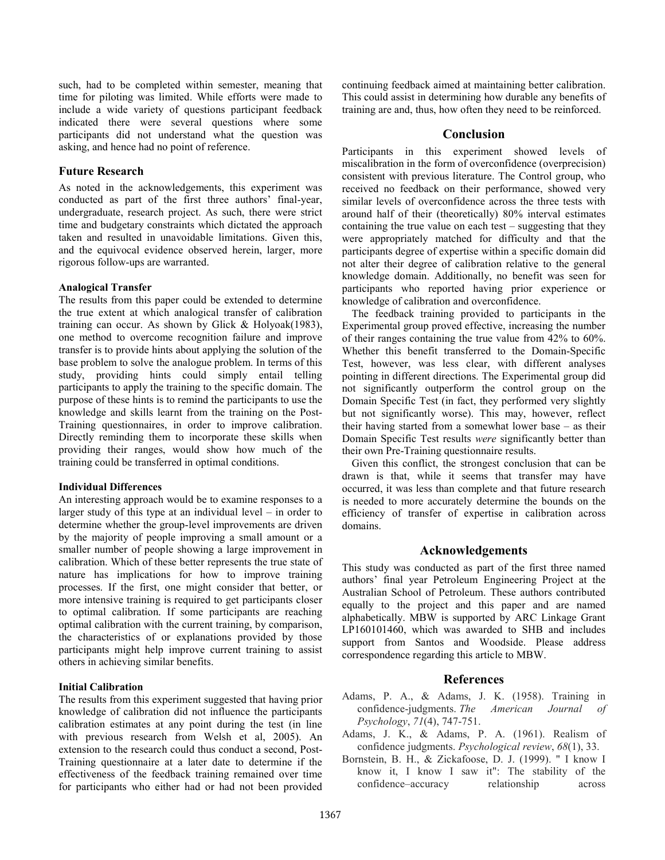such, had to be completed within semester, meaning that time for piloting was limited. While efforts were made to include a wide variety of questions participant feedback indicated there were several questions where some participants did not understand what the question was asking, and hence had no point of reference.

# Future Research

As noted in the acknowledgements, this experiment was conducted as part of the first three authors' final-year, undergraduate, research project. As such, there were strict time and budgetary constraints which dictated the approach taken and resulted in unavoidable limitations. Given this, and the equivocal evidence observed herein, larger, more rigorous follow-ups are warranted.

### Analogical Transfer

The results from this paper could be extended to determine the true extent at which analogical transfer of calibration training can occur. As shown by Glick & Holyoak(1983), one method to overcome recognition failure and improve transfer is to provide hints about applying the solution of the base problem to solve the analogue problem. In terms of this study, providing hints could simply entail telling participants to apply the training to the specific domain. The purpose of these hints is to remind the participants to use the knowledge and skills learnt from the training on the Post-Training questionnaires, in order to improve calibration. Directly reminding them to incorporate these skills when providing their ranges, would show how much of the training could be transferred in optimal conditions.

#### Individual Differences

An interesting approach would be to examine responses to a larger study of this type at an individual level – in order to determine whether the group-level improvements are driven by the majority of people improving a small amount or a smaller number of people showing a large improvement in calibration. Which of these better represents the true state of nature has implications for how to improve training processes. If the first, one might consider that better, or more intensive training is required to get participants closer to optimal calibration. If some participants are reaching optimal calibration with the current training, by comparison, the characteristics of or explanations provided by those participants might help improve current training to assist others in achieving similar benefits.

# Initial Calibration

The results from this experiment suggested that having prior knowledge of calibration did not influence the participants calibration estimates at any point during the test (in line with previous research from Welsh et al, 2005). An extension to the research could thus conduct a second, Post-Training questionnaire at a later date to determine if the effectiveness of the feedback training remained over time for participants who either had or had not been provided

continuing feedback aimed at maintaining better calibration. This could assist in determining how durable any benefits of training are and, thus, how often they need to be reinforced.

# Conclusion

Participants in this experiment showed levels of miscalibration in the form of overconfidence (overprecision) consistent with previous literature. The Control group, who received no feedback on their performance, showed very similar levels of overconfidence across the three tests with around half of their (theoretically) 80% interval estimates containing the true value on each test – suggesting that they were appropriately matched for difficulty and that the participants degree of expertise within a specific domain did not alter their degree of calibration relative to the general knowledge domain. Additionally, no benefit was seen for participants who reported having prior experience or knowledge of calibration and overconfidence.

The feedback training provided to participants in the Experimental group proved effective, increasing the number of their ranges containing the true value from 42% to 60%. Whether this benefit transferred to the Domain-Specific Test, however, was less clear, with different analyses pointing in different directions. The Experimental group did not significantly outperform the control group on the Domain Specific Test (in fact, they performed very slightly but not significantly worse). This may, however, reflect their having started from a somewhat lower base – as their Domain Specific Test results were significantly better than their own Pre-Training questionnaire results.

Given this conflict, the strongest conclusion that can be drawn is that, while it seems that transfer may have occurred, it was less than complete and that future research is needed to more accurately determine the bounds on the efficiency of transfer of expertise in calibration across domains.

# Acknowledgements

This study was conducted as part of the first three named authors' final year Petroleum Engineering Project at the Australian School of Petroleum. These authors contributed equally to the project and this paper and are named alphabetically. MBW is supported by ARC Linkage Grant LP160101460, which was awarded to SHB and includes support from Santos and Woodside. Please address correspondence regarding this article to MBW.

# References

- Adams, P. A., & Adams, J. K. (1958). Training in confidence-judgments. The American Journal of Psychology, 71(4), 747-751.
- Adams, J. K., & Adams, P. A. (1961). Realism of confidence judgments. Psychological review, 68(1), 33.
- Bornstein, B. H., & Zickafoose, D. J. (1999). " I know I know it, I know I saw it": The stability of the confidence–accuracy relationship across